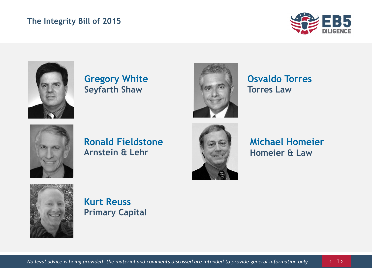#### **The Integrity Bill of 2015**





**Gregory White Seyfarth Shaw**



**Osvaldo Torres Torres Law**



**Ronald Fieldstone Arnstein & Lehr**



**Michael Homeier Homeier & Law**



**Kurt Reuss Primary Capital**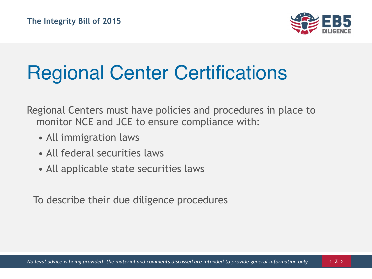

# Regional Center Certifications

Regional Centers must have policies and procedures in place to monitor NCE and JCE to ensure compliance with:

- All immigration laws
- All federal securities laws
- All applicable state securities laws

To describe their due diligence procedures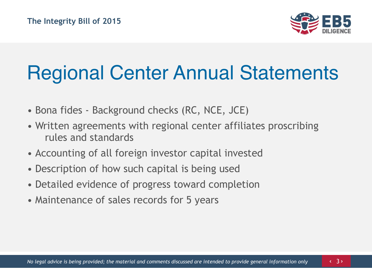

#### Regional Center Annual Statements

- Bona fides Background checks (RC, NCE, JCE)
- Written agreements with regional center affiliates proscribing rules and standards
- Accounting of all foreign investor capital invested
- Description of how such capital is being used
- Detailed evidence of progress toward completion
- Maintenance of sales records for 5 years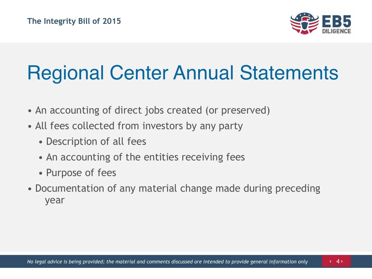

## Regional Center Annual Statements

- An accounting of direct jobs created (or preserved)
- All fees collected from investors by any party
	- Description of all fees
	- An accounting of the entities receiving fees
	- Purpose of fees
- Documentation of any material change made during preceding year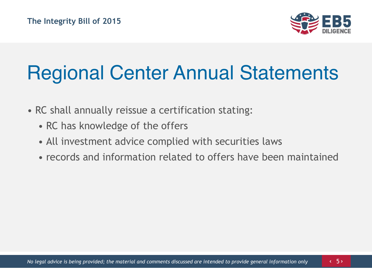

### Regional Center Annual Statements

- RC shall annually reissue a certification stating:
	- RC has knowledge of the offers
	- All investment advice complied with securities laws
	- records and information related to offers have been maintained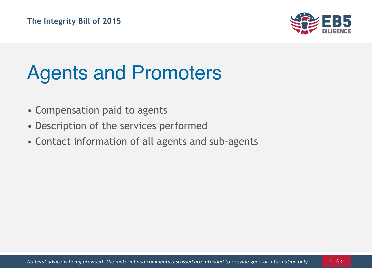

## Agents and Promoters

- Compensation paid to agents
- Description of the services performed
- Contact information of all agents and sub-agents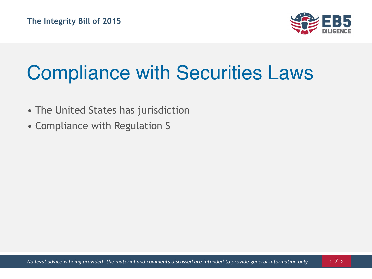

## Compliance with Securities Laws

- The United States has jurisdiction
- Compliance with Regulation S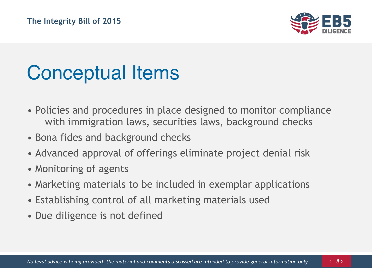

## Conceptual Items

- Policies and procedures in place designed to monitor compliance with immigration laws, securities laws, background checks
- Bona fides and background checks
- Advanced approval of offerings eliminate project denial risk
- Monitoring of agents
- Marketing materials to be included in exemplar applications
- Establishing control of all marketing materials used
- Due diligence is not defined